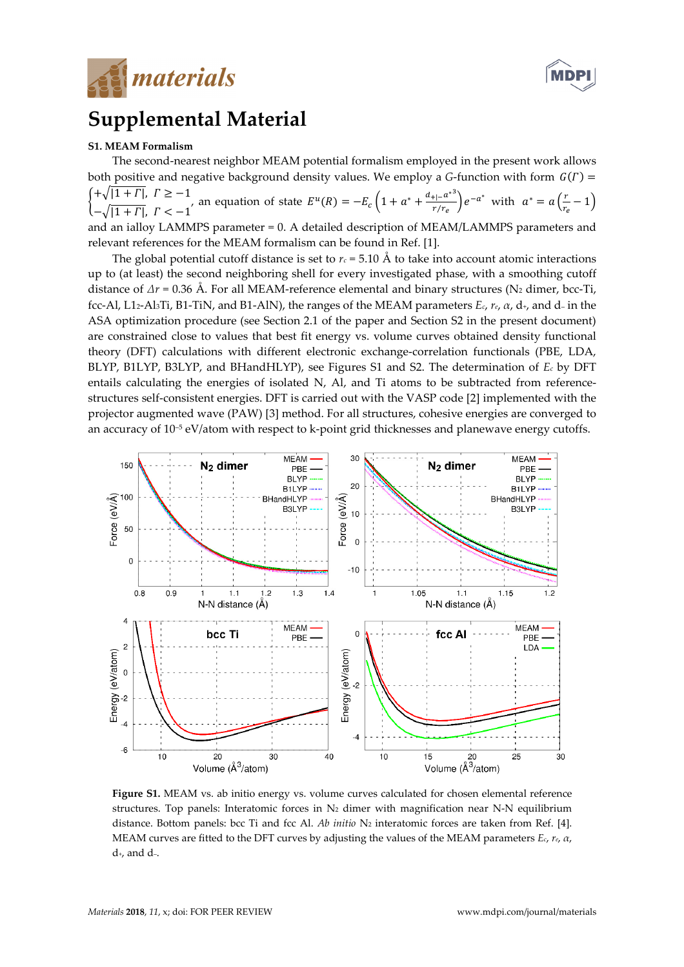



# Supplemental Material

# S1. MEAM Formalism

The second-nearest neighbor MEAM potential formalism employed in the present work allows both positive and negative background density values. We employ a G-function with form  $\,G(\varGamma) =$  $\int_1^1 + \sqrt{1 + \Gamma}$ ,  $\Gamma \ge -1$  $-\sqrt{1 + \Gamma}$ ,  $\Gamma < -1$ , an equation of state  $E^{u}(R) = -E_{c}\left(1 + a^{*} + \frac{d_{+1} - a^{*3}}{r/r_{c}}\right)$  $\left(\frac{e^{t}-a^{*}}{r/r_{e}}\right)e^{-a^{*}}$  with  $a^{*}=a\left(\frac{r}{r_{e}}-1\right)$ and an ialloy LAMMPS parameter = 0. A detailed description of MEAM/LAMMPS parameters and relevant references for the MEAM formalism can be found in Ref. [1].

The global potential cutoff distance is set to  $r_c = 5.10 \text{ Å}$  to take into account atomic interactions up to (at least) the second neighboring shell for every investigated phase, with a smoothing cutoff distance of  $\Delta r = 0.36$  Å. For all MEAM-reference elemental and binary structures (N<sub>2</sub> dimer, bcc-Ti, fcc-Al, L12-Al3Ti, B1-TiN, and B1-AlN), the ranges of the MEAM parameters  $E_c$ ,  $r_e$ ,  $\alpha$ ,  $d_{\tau}$ , and  $d$ - in the ASA optimization procedure (see Section 2.1 of the paper and Section S2 in the present document) are constrained close to values that best fit energy vs. volume curves obtained density functional theory (DFT) calculations with different electronic exchange-correlation functionals (PBE, LDA, BLYP, B1LYP, B3LYP, and BHandHLYP), see Figures S1 and S2. The determination of  $E_c$  by DFT entails calculating the energies of isolated N, Al, and Ti atoms to be subtracted from referencestructures self-consistent energies. DFT is carried out with the VASP code [2] implemented with the projector augmented wave (PAW) [3] method. For all structures, cohesive energies are converged to an accuracy of  $10^{-5}$  eV/atom with respect to k-point grid thicknesses and planewave energy cutoffs.



Figure S1. MEAM vs. ab initio energy vs. volume curves calculated for chosen elemental reference structures. Top panels: Interatomic forces in  $N_2$  dimer with magnification near N-N equilibrium distance. Bottom panels: bcc Ti and fcc Al. Ab initio  $N_2$  interatomic forces are taken from Ref. [4]. MEAM curves are fitted to the DFT curves by adjusting the values of the MEAM parameters  $E_c$ ,  $r_e$ ,  $\alpha$ , d+, and d–.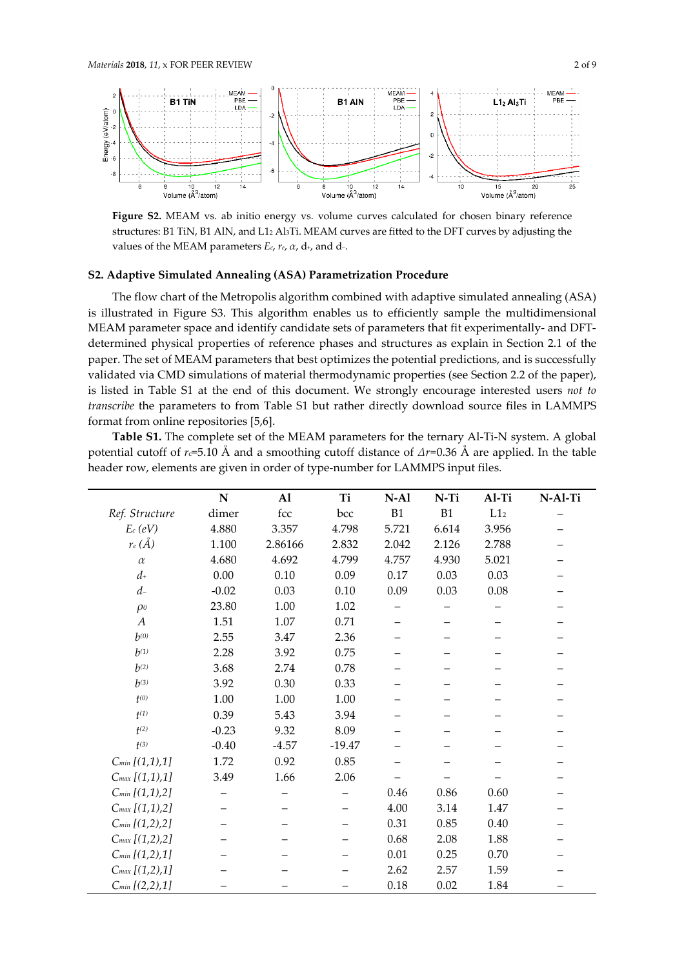

Figure S2. MEAM vs. ab initio energy vs. volume curves calculated for chosen binary reference structures: B1 TiN, B1 AlN, and L12 Al3Ti. MEAM curves are fitted to the DFT curves by adjusting the values of the MEAM parameters  $E_c$ ,  $r_e$ ,  $\alpha$ ,  $d_{+}$ , and  $d_{-}$ .

### S2. Adaptive Simulated Annealing (ASA) Parametrization Procedure

The flow chart of the Metropolis algorithm combined with adaptive simulated annealing (ASA) is illustrated in Figure S3. This algorithm enables us to efficiently sample the multidimensional MEAM parameter space and identify candidate sets of parameters that fit experimentally- and DFTdetermined physical properties of reference phases and structures as explain in Section 2.1 of the paper. The set of MEAM parameters that best optimizes the potential predictions, and is successfully validated via CMD simulations of material thermodynamic properties (see Section 2.2 of the paper), is listed in Table S1 at the end of this document. We strongly encourage interested users not to transcribe the parameters to from Table S1 but rather directly download source files in LAMMPS format from online repositories [5,6].

Table S1. The complete set of the MEAM parameters for the ternary Al-Ti-N system. A global potential cutoff of  $r = 5.10$  Å and a smoothing cutoff distance of  $\Delta r = 0.36$  Å are applied. In the table header row, elements are given in order of type-number for LAMMPS input files.

|                     | ${\bf N}$ | $\mathbf{A}$ | Ti       | $N-A1$   | N-Ti  | Al-Ti     | N-Al-Ti |
|---------------------|-----------|--------------|----------|----------|-------|-----------|---------|
| Ref. Structure      | dimer     | fcc          | bcc      | B1       | B1    | $\rm L12$ |         |
| $E_c$ (eV)          | 4.880     | 3.357        | 4.798    | 5.721    | 6.614 | 3.956     |         |
| $r_e(\AA)$          | 1.100     | 2.86166      | 2.832    | 2.042    | 2.126 | 2.788     |         |
| $\alpha$            | 4.680     | 4.692        | 4.799    | 4.757    | 4.930 | 5.021     |         |
| $d_{+}$             | 0.00      | 0.10         | 0.09     | 0.17     | 0.03  | 0.03      |         |
| $d-$                | $-0.02$   | 0.03         | 0.10     | 0.09     | 0.03  | 0.08      |         |
| $\rho$              | 23.80     | 1.00         | 1.02     |          |       |           |         |
| $\boldsymbol{A}$    | 1.51      | 1.07         | 0.71     |          |       |           |         |
| $h^{(0)}$           | 2.55      | 3.47         | 2.36     |          |       |           |         |
| $h^{(1)}$           | 2.28      | 3.92         | 0.75     |          |       |           |         |
| $h^{(2)}$           | 3.68      | 2.74         | 0.78     |          |       |           |         |
| $b^{(3)}$           | 3.92      | 0.30         | 0.33     |          |       |           |         |
| $t^{(0)}$           | 1.00      | 1.00         | 1.00     |          |       |           |         |
| $t^{(1)}$           | 0.39      | 5.43         | 3.94     |          |       |           |         |
| $t^{(2)}$           | $-0.23$   | 9.32         | 8.09     |          |       |           |         |
| $t^{(3)}$           | $-0.40$   | $-4.57$      | $-19.47$ |          |       |           |         |
| $C_{min}$ [(1,1),1] | 1.72      | 0.92         | 0.85     |          |       |           |         |
| $C_{max}$ [(1,1),1] | 3.49      | 1.66         | 2.06     |          |       |           |         |
| $C_{min}$ [(1,1),2] |           |              |          | 0.46     | 0.86  | 0.60      |         |
| $C_{max}$ [(1,1),2] |           |              |          | 4.00     | 3.14  | 1.47      |         |
| $C_{min}$ [(1,2),2] |           |              |          | 0.31     | 0.85  | 0.40      |         |
| $C_{max}$ [(1,2),2] |           |              |          | 0.68     | 2.08  | 1.88      |         |
| $C_{min}$ [(1,2),1] |           |              |          | 0.01     | 0.25  | 0.70      |         |
| $C_{max}$ [(1,2),1] |           |              |          | 2.62     | 2.57  | 1.59      |         |
| $C_{min}$ [(2,2),1] |           |              |          | $0.18\,$ | 0.02  | 1.84      |         |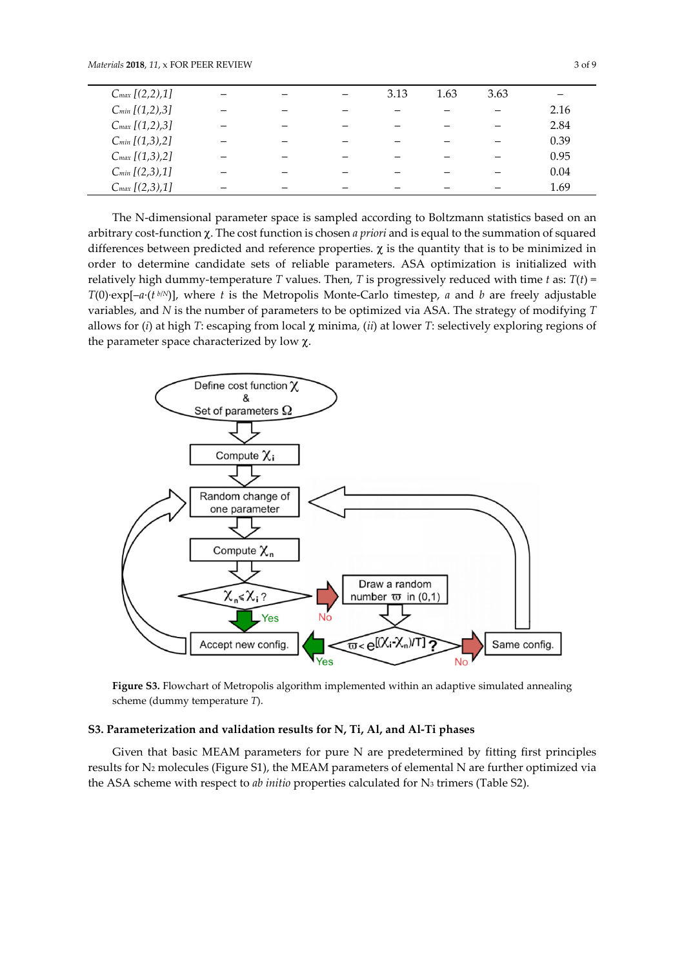| $C_{max}$ [(2,2),1] |  | 3.13 | 1.63 | 3.63 |      |
|---------------------|--|------|------|------|------|
| $C_{min}$ [(1,2),3] |  |      |      |      | 2.16 |
| $C_{max}$ [(1,2),3] |  |      |      |      | 2.84 |
| $C_{min}$ [(1,3),2] |  |      |      |      | 0.39 |
| $C_{max}$ [(1,3),2] |  |      |      |      | 0.95 |
| $C_{min}$ [(2,3),1] |  |      |      |      | 0.04 |
| $C_{max}$ [(2,3),1] |  |      |      |      | 1.69 |

The N-dimensional parameter space is sampled according to Boltzmann statistics based on an arbitrary cost-function  $\chi$ . The cost function is chosen *a priori* and is equal to the summation of squared differences between predicted and reference properties.  $\chi$  is the quantity that is to be minimized in order to determine candidate sets of reliable parameters. ASA optimization is initialized with relatively high dummy-temperature T values. Then, T is progressively reduced with time t as:  $T(t)$  = T(0)·exp[-a·(t<sup>b/N</sup>)], where t is the Metropolis Monte-Carlo timestep, a and b are freely adjustable variables, and N is the number of parameters to be optimized via ASA. The strategy of modifying T allows for (i) at high T: escaping from local  $\chi$  minima, (ii) at lower T: selectively exploring regions of the parameter space characterized by low  $χ$ .



Figure S3. Flowchart of Metropolis algorithm implemented within an adaptive simulated annealing scheme (dummy temperature T).

#### S3. Parameterization and validation results for N, Ti, Al, and Al-Ti phases

Given that basic MEAM parameters for pure N are predetermined by fitting first principles results for N2 molecules (Figure S1), the MEAM parameters of elemental N are further optimized via the ASA scheme with respect to *ab initio* properties calculated for  $N_3$  trimers (Table S2).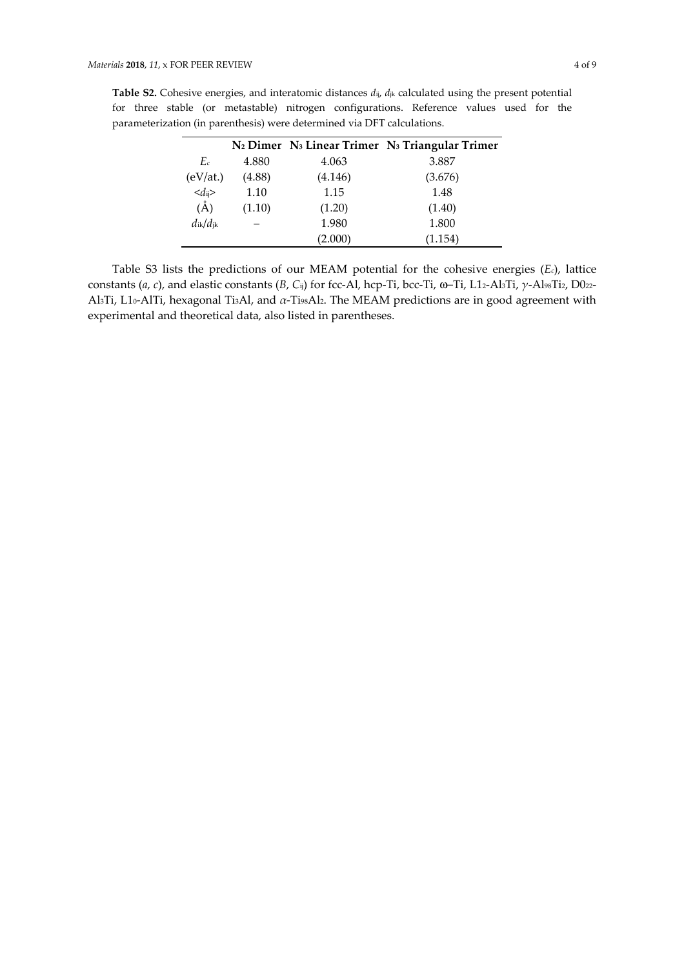|                          |        |         | N <sub>2</sub> Dimer N <sub>3</sub> Linear Trimer N <sub>3</sub> Triangular Trimer |
|--------------------------|--------|---------|------------------------------------------------------------------------------------|
| Ec                       | 4.880  | 4.063   | 3.887                                                                              |
| (eV <sub>at.</sub> )     | (4.88) | (4.146) | (3.676)                                                                            |
| $\langle d_{ij} \rangle$ | 1.10   | 1.15    | 1.48                                                                               |
| $(\AA)$                  | (1.10) | (1.20)  | (1.40)                                                                             |
| $d_{ik}/d_{jk}$          |        | 1.980   | 1.800                                                                              |
|                          |        | (2.000) | (1.154)                                                                            |

Table S2. Cohesive energies, and interatomic distances  $d_{ij}$ ,  $d_{jk}$  calculated using the present potential for three stable (or metastable) nitrogen configurations. Reference values used for the parameterization (in parenthesis) were determined via DFT calculations.

Table S3 lists the predictions of our MEAM potential for the cohesive energies  $(E_c)$ , lattice constants (a, c), and elastic constants (B, C<sub>ij</sub>) for fcc-Al, hcp-Ti, bcc-Ti, ω-Ti, L12-Al3Ti, γ-Al98Ti2, D022-Al3Ti, L10-AlTi, hexagonal Ti3Al, and  $\alpha$ -Ti98Al2. The MEAM predictions are in good agreement with experimental and theoretical data, also listed in parentheses.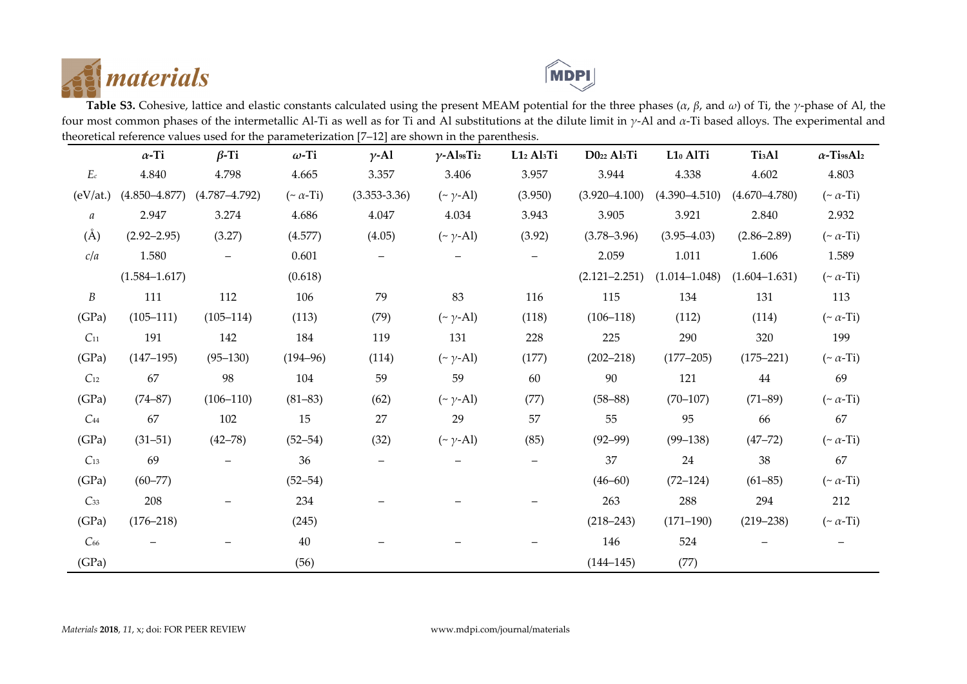



Table S3. Cohesive, lattice and elastic constants calculated using the present MEAM potential for the three phases ( $\alpha$ ,  $\beta$ , and  $\omega$ ) of Ti, the  $\gamma$ -phase of Al, the four most common phases of the intermetallic Al-Ti as well as for Ti and Al substitutions at the dilute limit in γ-Al and α-Ti based alloys. The experimental and theoretical reference values used for the parameterization [7–12] are shown in the parenthesis. ÷.

|                     | $\alpha$ -Ti      | $\beta$ -Ti       | $\omega$ -Ti        | $\gamma$ -Al     | $\gamma$ -Al98Ti2   | L12 Al3Ti                | D022 Al <sub>3</sub> Ti | L10 AlTi          | Ti <sub>3</sub> A1 | $\alpha$ -TissAl2   |
|---------------------|-------------------|-------------------|---------------------|------------------|---------------------|--------------------------|-------------------------|-------------------|--------------------|---------------------|
| $E\scriptstyle{c}$  | 4.840             | 4.798             | 4.665               | 3.357            | 3.406               | 3.957                    | 3.944                   | 4.338             | 4.602              | 4.803               |
| (eV <sub>at</sub> ) | $(4.850 - 4.877)$ | $(4.787 - 4.792)$ | $(\sim \alpha$ -Ti) | $(3.353 - 3.36)$ | $(\sim \gamma$ -Al) | (3.950)                  | $(3.920 - 4.100)$       | $(4.390 - 4.510)$ | $(4.670 - 4.780)$  | $(\sim \alpha$ -Ti) |
| $\it{a}$            | 2.947             | 3.274             | 4.686               | 4.047            | 4.034               | 3.943                    | 3.905                   | 3.921             | 2.840              | 2.932               |
| $\rm(\AA)$          | $(2.92 - 2.95)$   | (3.27)            | (4.577)             | (4.05)           | $(\sim \gamma$ -Al) | (3.92)                   | $(3.78 - 3.96)$         | $(3.95 - 4.03)$   | $(2.86 - 2.89)$    | $(\sim \alpha$ -Ti) |
| c/a                 | 1.580             |                   | 0.601               |                  |                     | $\overline{\phantom{0}}$ | 2.059                   | 1.011             | 1.606              | 1.589               |
|                     | $(1.584 - 1.617)$ |                   | (0.618)             |                  |                     |                          | $(2.121 - 2.251)$       | $(1.014 - 1.048)$ | $(1.604 - 1.631)$  | $(\sim \alpha$ -Ti) |
| $\boldsymbol{B}$    | 111               | 112               | 106                 | 79               | 83                  | 116                      | 115                     | 134               | 131                | 113                 |
| (GPa)               | $(105 - 111)$     | $(105 - 114)$     | (113)               | (79)             | $(\sim \gamma$ -Al) | (118)                    | $(106 - 118)$           | (112)             | (114)              | $(\sim \alpha$ -Ti) |
| $C_{11}$            | 191               | 142               | 184                 | 119              | 131                 | 228                      | 225                     | 290               | 320                | 199                 |
| (GPa)               | $(147 - 195)$     | $(95 - 130)$      | $(194 - 96)$        | (114)            | $(\sim \gamma$ -Al) | (177)                    | $(202 - 218)$           | $(177 - 205)$     | $(175 - 221)$      | $(\sim \alpha$ -Ti) |
| $C_{12}$            | 67                | 98                | 104                 | 59               | 59                  | 60                       | 90                      | 121               | 44                 | 69                  |
| (GPa)               | $(74 - 87)$       | $(106 - 110)$     | $(81 - 83)$         | (62)             | $(\sim \gamma$ -Al) | (77)                     | $(58 - 88)$             | $(70-107)$        | $(71 - 89)$        | $(\sim \alpha$ -Ti) |
| $C_{44}$            | 67                | 102               | 15                  | 27               | 29                  | 57                       | 55                      | 95                | 66                 | 67                  |
| (GPa)               | $(31 - 51)$       | $(42 - 78)$       | $(52 - 54)$         | (32)             | $(\sim \gamma$ -Al) | (85)                     | $(92 - 99)$             | $(99 - 138)$      | $(47 - 72)$        | $(\sim \alpha$ -Ti) |
| $C_{13}$            | 69                |                   | 36                  |                  |                     |                          | 37                      | 24                | 38                 | 67                  |
| (GPa)               | $(60 - 77)$       |                   | $(52 - 54)$         |                  |                     |                          | $(46 - 60)$             | $(72 - 124)$      | $(61 - 85)$        | $(\sim \alpha$ -Ti) |
| $C_{33}$            | 208               |                   | 234                 |                  |                     |                          | 263                     | 288               | 294                | 212                 |
| (GPa)               | $(176 - 218)$     |                   | (245)               |                  |                     |                          | $(218 - 243)$           | $(171 - 190)$     | $(219 - 238)$      | $(\sim \alpha$ -Ti) |
| $C_{66}$            |                   |                   | $40\,$              |                  |                     |                          | 146                     | 524               |                    |                     |
| (GPa)               |                   |                   | (56)                |                  |                     |                          | $(144 - 145)$           | (77)              |                    |                     |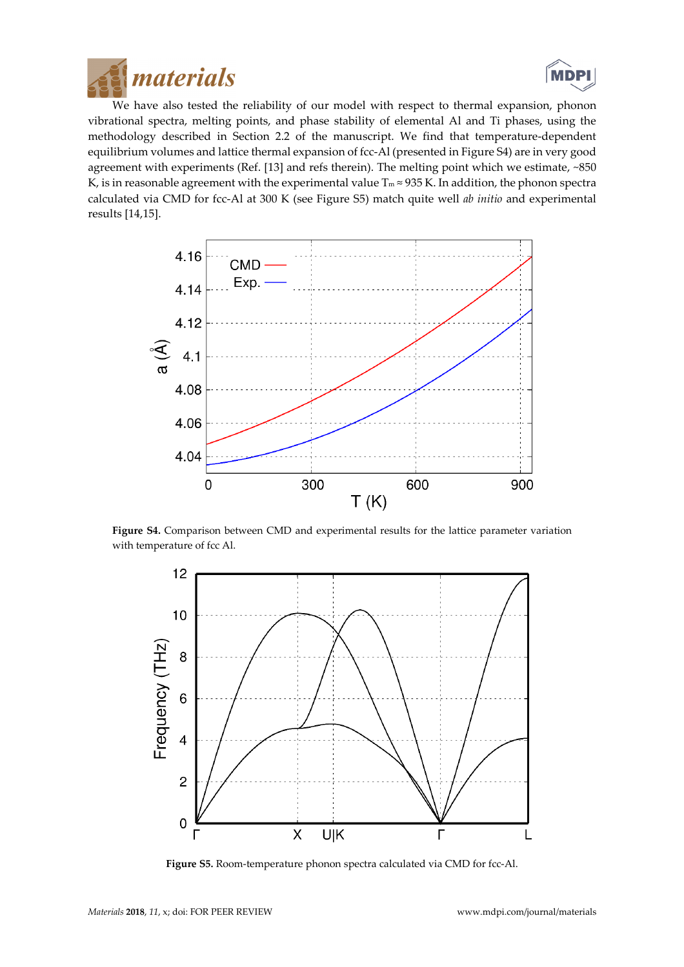



We have also tested the reliability of our model with respect to thermal expansion, phonon vibrational spectra, melting points, and phase stability of elemental Al and Ti phases, using the methodology described in Section 2.2 of the manuscript. We find that temperature-dependent equilibrium volumes and lattice thermal expansion of fcc-Al (presented in Figure S4) are in very good agreement with experiments (Ref. [13] and refs therein). The melting point which we estimate, ~850 K, is in reasonable agreement with the experimental value  $T_m \approx 935$  K. In addition, the phonon spectra calculated via CMD for fcc-Al at 300 K (see Figure S5) match quite well ab initio and experimental results [14,15].



Figure S4. Comparison between CMD and experimental results for the lattice parameter variation with temperature of fcc Al.



Figure S5. Room-temperature phonon spectra calculated via CMD for fcc-Al.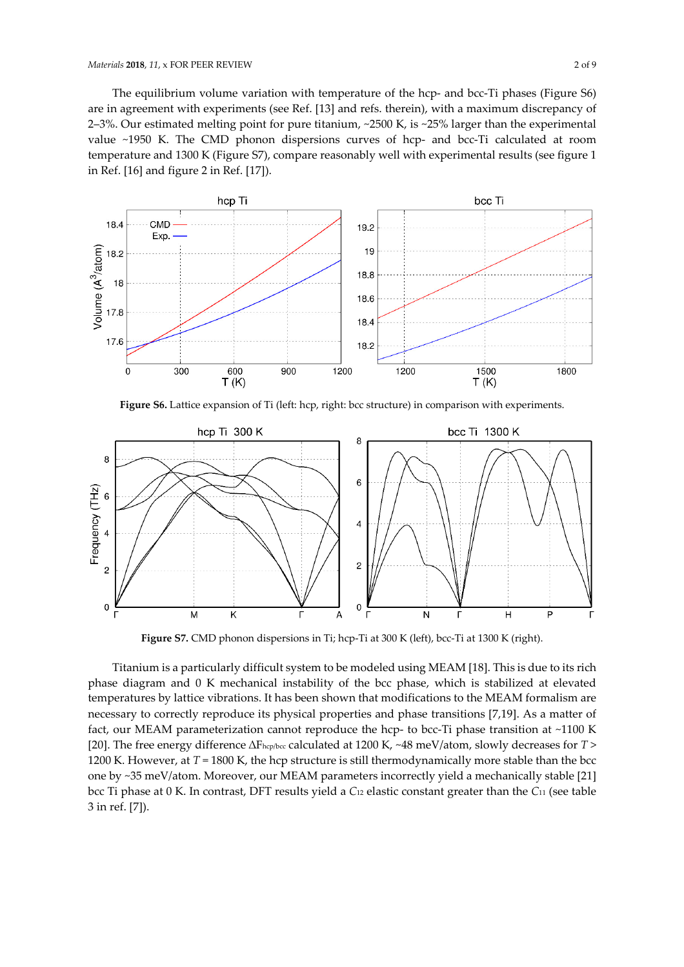The equilibrium volume variation with temperature of the hcp- and bcc-Ti phases (Figure S6) are in agreement with experiments (see Ref. [13] and refs. therein), with a maximum discrepancy of 2–3%. Our estimated melting point for pure titanium, ~2500 K, is ~25% larger than the experimental value ~1950 K. The CMD phonon dispersions curves of hcp- and bcc-Ti calculated at room temperature and 1300 K (Figure S7), compare reasonably well with experimental results (see figure 1 in Ref. [16] and figure 2 in Ref. [17]).



Figure S6. Lattice expansion of Ti (left: hcp, right: bcc structure) in comparison with experiments.



Figure S7. CMD phonon dispersions in Ti; hcp-Ti at 300 K (left), bcc-Ti at 1300 K (right).

Titanium is a particularly difficult system to be modeled using MEAM [18]. This is due to its rich phase diagram and 0 K mechanical instability of the bcc phase, which is stabilized at elevated temperatures by lattice vibrations. It has been shown that modifications to the MEAM formalism are necessary to correctly reproduce its physical properties and phase transitions [7,19]. As a matter of fact, our MEAM parameterization cannot reproduce the hcp- to bcc-Ti phase transition at ~1100 K [20]. The free energy difference ∆Fhcp/bcc calculated at 1200 K, ~48 meV/atom, slowly decreases for T > 1200 K. However, at  $T = 1800$  K, the hcp structure is still thermodynamically more stable than the bcc one by ~35 meV/atom. Moreover, our MEAM parameters incorrectly yield a mechanically stable [21] bcc Ti phase at 0 K. In contrast, DFT results yield a C<sub>12</sub> elastic constant greater than the C<sub>11</sub> (see table 3 in ref. [7]).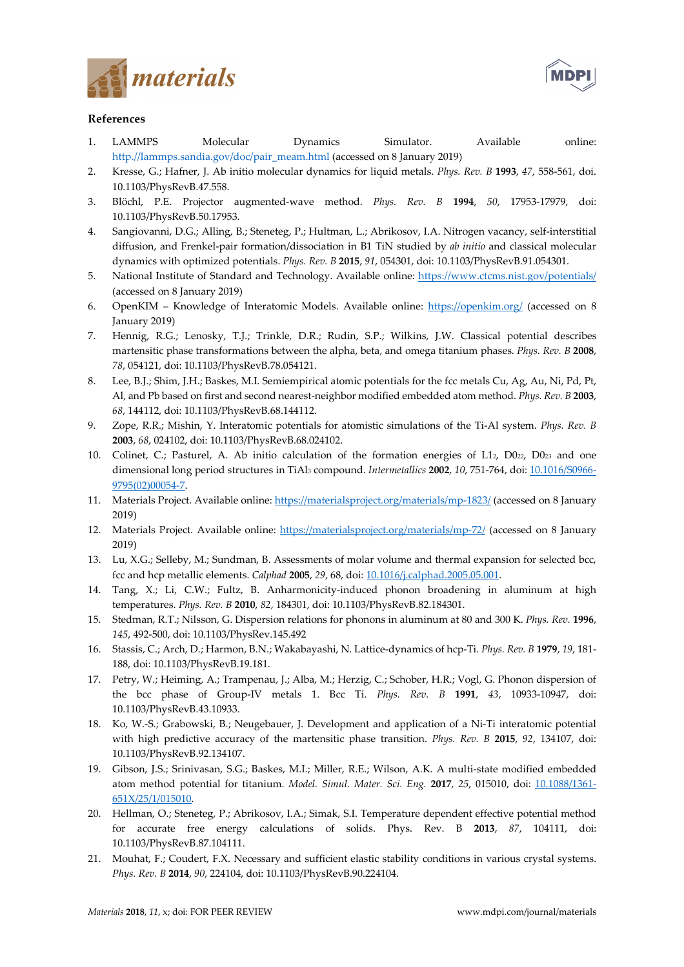



# References

- 1. LAMMPS Molecular Dynamics Simulator. Available online: http.//lammps.sandia.gov/doc/pair\_meam.html (accessed on 8 January 2019)
- 2. Kresse, G.; Hafner, J. Ab initio molecular dynamics for liquid metals. Phys. Rev. B 1993, 47, 558-561, doi. 10.1103/PhysRevB.47.558.
- 3. Blöchl, P.E. Projector augmented-wave method. Phys. Rev. B 1994, 50, 17953-17979, doi: 10.1103/PhysRevB.50.17953.
- 4. Sangiovanni, D.G.; Alling, B.; Steneteg, P.; Hultman, L.; Abrikosov, I.A. Nitrogen vacancy, self-interstitial diffusion, and Frenkel-pair formation/dissociation in B1 TiN studied by ab initio and classical molecular dynamics with optimized potentials. Phys. Rev. B 2015, 91, 054301, doi: 10.1103/PhysRevB.91.054301.
- 5. National Institute of Standard and Technology. Available online: https://www.ctcms.nist.gov/potentials/ (accessed on 8 January 2019)
- 6. OpenKIM Knowledge of Interatomic Models. Available online: https://openkim.org/ (accessed on 8 January 2019)
- 7. Hennig, R.G.; Lenosky, T.J.; Trinkle, D.R.; Rudin, S.P.; Wilkins, J.W. Classical potential describes martensitic phase transformations between the alpha, beta, and omega titanium phases. Phys. Rev. B 2008, 78, 054121, doi: 10.1103/PhysRevB.78.054121.
- 8. Lee, B.J.; Shim, J.H.; Baskes, M.I. Semiempirical atomic potentials for the fcc metals Cu, Ag, Au, Ni, Pd, Pt, Al, and Pb based on first and second nearest-neighbor modified embedded atom method. Phys. Rev. B 2003, 68, 144112, doi: 10.1103/PhysRevB.68.144112.
- 9. Zope, R.R.; Mishin, Y. Interatomic potentials for atomistic simulations of the Ti-Al system. Phys. Rev. B 2003, 68, 024102, doi: 10.1103/PhysRevB.68.024102.
- 10. Colinet, C.; Pasturel, A. Ab initio calculation of the formation energies of L12, D022, D023 and one dimensional long period structures in TiAl<sub>3</sub> compound. Intermetallics 2002, 10, 751-764, doi: 10.1016/S0966-9795(02)00054-7.
- 11. Materials Project. Available online: https://materialsproject.org/materials/mp-1823/ (accessed on 8 January 2019)
- 12. Materials Project. Available online: https://materialsproject.org/materials/mp-72/ (accessed on 8 January 2019)
- 13. Lu, X.G.; Selleby, M.; Sundman, B. Assessments of molar volume and thermal expansion for selected bcc, fcc and hcp metallic elements. Calphad 2005, 29, 68, doi: 10.1016/j.calphad.2005.05.001.
- 14. Tang, X.; Li, C.W.; Fultz, B. Anharmonicity-induced phonon broadening in aluminum at high temperatures. Phys. Rev. B 2010, 82, 184301, doi: 10.1103/PhysRevB.82.184301.
- 15. Stedman, R.T.; Nilsson, G. Dispersion relations for phonons in aluminum at 80 and 300 K. Phys. Rev. 1996, 145, 492-500, doi: 10.1103/PhysRev.145.492
- 16. Stassis, C.; Arch, D.; Harmon, B.N.; Wakabayashi, N. Lattice-dynamics of hcp-Ti. Phys. Rev. B 1979, 19, 181- 188, doi: 10.1103/PhysRevB.19.181.
- 17. Petry, W.; Heiming, A.; Trampenau, J.; Alba, M.; Herzig, C.; Schober, H.R.; Vogl, G. Phonon dispersion of the bcc phase of Group-IV metals 1. Bcc Ti. Phys. Rev. B 1991, 43, 10933-10947, doi: 10.1103/PhysRevB.43.10933.
- 18. Ko, W.-S.; Grabowski, B.; Neugebauer, J. Development and application of a Ni-Ti interatomic potential with high predictive accuracy of the martensitic phase transition. *Phys. Rev. B* 2015, 92, 134107, doi: 10.1103/PhysRevB.92.134107.
- 19. Gibson, J.S.; Srinivasan, S.G.; Baskes, M.I.; Miller, R.E.; Wilson, A.K. A multi-state modified embedded atom method potential for titanium. Model. Simul. Mater. Sci. Eng. 2017, 25, 015010, doi: 10.1088/1361-651X/25/1/015010.
- 20. Hellman, O.; Steneteg, P.; Abrikosov, I.A.; Simak, S.I. Temperature dependent effective potential method for accurate free energy calculations of solids. Phys. Rev. B 2013, 87, 104111, doi: 10.1103/PhysRevB.87.104111.
- 21. Mouhat, F.; Coudert, F.X. Necessary and sufficient elastic stability conditions in various crystal systems. Phys. Rev. B 2014, 90, 224104, doi: 10.1103/PhysRevB.90.224104.